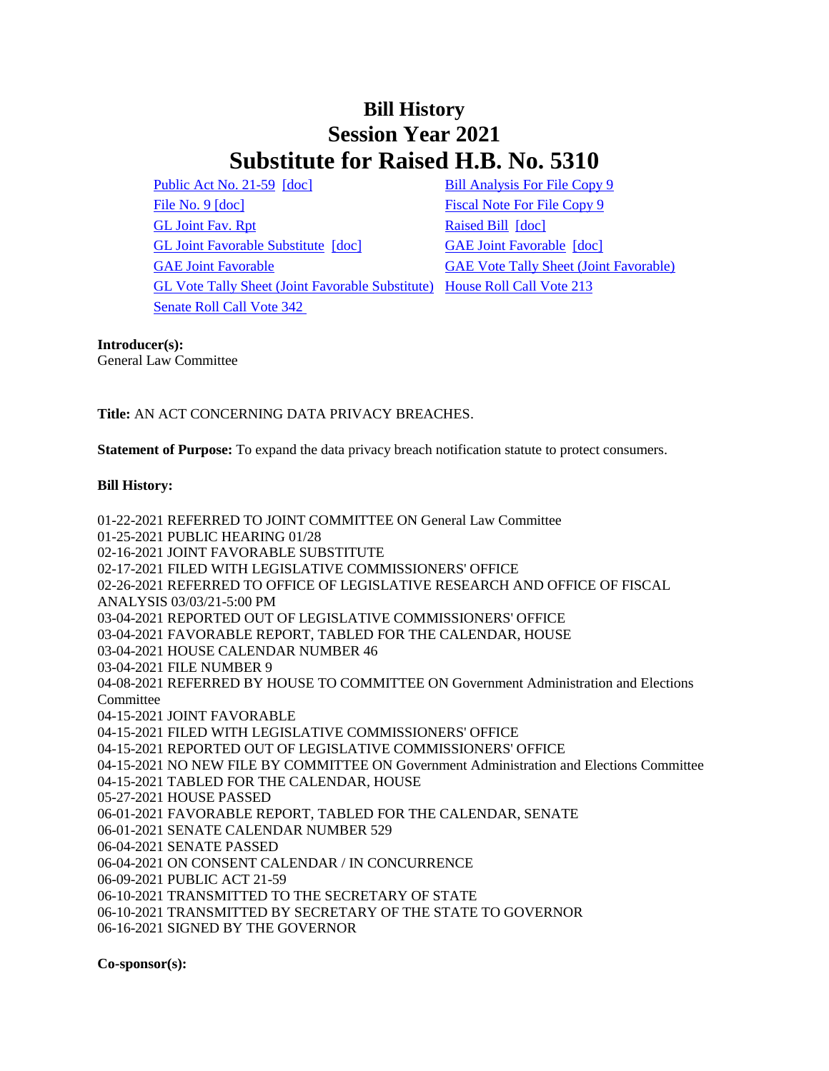## **Bill History Session Year 2021 Substitute for Raised H.B. No. 5310**

[Public Act No. 21-59](/2021/ACT/PA/PDF/2021PA-00059-R00HB-05310-PA.PDF) [\[doc\]](https://search.cga.state.ct.us/dl2021/PA/DOC/2021PA-00059-R00HB-05310-PA.DOCX) [Bill Analysis For File Copy 9](/2021/BA/PDF/2021HB-05310-R000009-BA.PDF) [File No. 9](/2021/FC/PDF/2021HB-05310-R000009-FC.PDF) [\[doc\]](/2021/FC/PDF/2021HB-05310-R000009-FC.PDF) [Fiscal Note For File Copy 9](/2021/FN/PDF/2021HB-05310-R000009-FN.PDF) [GL Joint Fav. Rpt](/2021/JFR/H/PDF/2021HB-05310-R00GL-JFR.PDF) [Raised Bill](/2021/TOB/H/PDF/2021HB-05310-R00-HB.PDF) [\[doc\]](https://search.cga.state.ct.us/dl2021/TOB/DOC/2021HB-05310-R00-HB.DOCX) [GL Joint Favorable Substitute](/2021/TOB/H/PDF/2021HB-05310-R01-HB.PDF) [\[doc\]](https://search.cga.state.ct.us/dl2021/TOB/DOC/2021HB-05310-R02-HB.DOCX) [GAE Joint Favorable](/2021/TOB/H/PDF/2021HB-05310-R02-HB.PDF) [doc] [GAE Joint Favorable](/2021/TOB/H/PDF/2021HB-05310-R03-HB.PDF) [GAE Vote Tally Sheet \(Joint Favorable\)](/2021/TS/H/PDF/2021HB-05310-R00GAE-CV131-TS.PDF) [GL Vote Tally Sheet \(Joint Favorable Substitute\)](/2021/TS/H/PDF/2021HB-05310-R00GL-CV46-TS.PDF) [House Roll Call Vote 213](/2021/VOTE/H/PDF/2021HV-00213-R00HB05310-HV.PDF)  [Senate Roll Call Vote 342](/2021/VOTE/S/PDF/2021SV-00342-R00HB05310-SV.PDF) 

## **Introducer(s):**

General Law Committee

**Title:** AN ACT CONCERNING DATA PRIVACY BREACHES.

**Statement of Purpose:** To expand the data privacy breach notification statute to protect consumers.

## **Bill History:**

01-22-2021 REFERRED TO JOINT COMMITTEE ON General Law Committee 01-25-2021 PUBLIC HEARING 01/28 02-16-2021 JOINT FAVORABLE SUBSTITUTE 02-17-2021 FILED WITH LEGISLATIVE COMMISSIONERS' OFFICE 02-26-2021 REFERRED TO OFFICE OF LEGISLATIVE RESEARCH AND OFFICE OF FISCAL ANALYSIS 03/03/21-5:00 PM 03-04-2021 REPORTED OUT OF LEGISLATIVE COMMISSIONERS' OFFICE 03-04-2021 FAVORABLE REPORT, TABLED FOR THE CALENDAR, HOUSE 03-04-2021 HOUSE CALENDAR NUMBER 46 03-04-2021 FILE NUMBER 9 04-08-2021 REFERRED BY HOUSE TO COMMITTEE ON Government Administration and Elections Committee 04-15-2021 JOINT FAVORABLE 04-15-2021 FILED WITH LEGISLATIVE COMMISSIONERS' OFFICE 04-15-2021 REPORTED OUT OF LEGISLATIVE COMMISSIONERS' OFFICE 04-15-2021 NO NEW FILE BY COMMITTEE ON Government Administration and Elections Committee 04-15-2021 TABLED FOR THE CALENDAR, HOUSE 05-27-2021 HOUSE PASSED 06-01-2021 FAVORABLE REPORT, TABLED FOR THE CALENDAR, SENATE 06-01-2021 SENATE CALENDAR NUMBER 529 06-04-2021 SENATE PASSED 06-04-2021 ON CONSENT CALENDAR / IN CONCURRENCE 06-09-2021 PUBLIC ACT 21-59 06-10-2021 TRANSMITTED TO THE SECRETARY OF STATE 06-10-2021 TRANSMITTED BY SECRETARY OF THE STATE TO GOVERNOR 06-16-2021 SIGNED BY THE GOVERNOR

**Co-sponsor(s):**